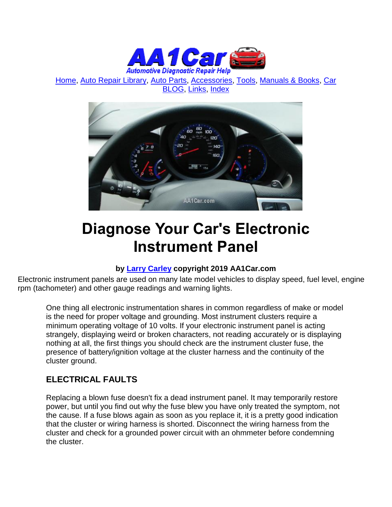

[Home,](http://www.aa1car.com/) [Auto Repair Library,](http://www.aa1car.com/library.htm) [Auto Parts,](http://www.aa1car.com/links_parts.htm) [Accessories,](http://www.aa1car.com/auto-accessories.html) [Tools,](http://www.aa1car.com/links_tools.htm) [Manuals & Books,](http://www.aa1car.com/links_books.htm) [Car](http://www.aa1car.com/blog/blog.htm)  [BLOG,](http://www.aa1car.com/blog/blog.htm) [Links,](http://www.aa1car.com/links.htm) [Index](http://www.aa1car.com/index_alphabetical.htm)



# **Diagnose Your Car's Electronic Instrument Panel**

### **by [Larry Carley](https://www.aa1car.com/larrypage/larrycarley_photos.htm) copyright 2019 AA1Car.com**

Electronic instrument panels are used on many late model vehicles to display speed, fuel level, engine rpm (tachometer) and other gauge readings and warning lights.

One thing all electronic instrumentation shares in common regardless of make or model is the need for proper voltage and grounding. Most instrument clusters require a minimum operating voltage of 10 volts. If your electronic instrument panel is acting strangely, displaying weird or broken characters, not reading accurately or is displaying nothing at all, the first things you should check are the instrument cluster fuse, the presence of battery/ignition voltage at the cluster harness and the continuity of the cluster ground.

### **ELECTRICAL FAULTS**

Replacing a blown fuse doesn't fix a dead instrument panel. It may temporarily restore power, but until you find out why the fuse blew you have only treated the symptom, not the cause. If a fuse blows again as soon as you replace it, it is a pretty good indication that the cluster or wiring harness is shorted. Disconnect the wiring harness from the cluster and check for a grounded power circuit with an ohmmeter before condemning the cluster.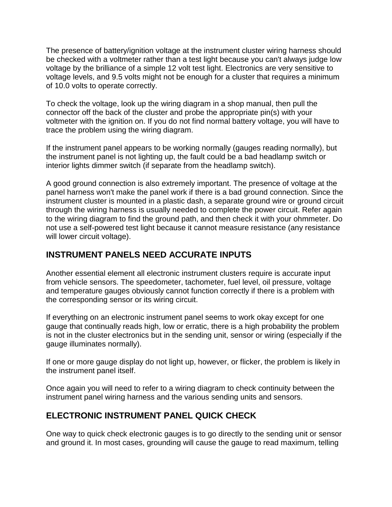The presence of battery/ignition voltage at the instrument cluster wiring harness should be checked with a voltmeter rather than a test light because you can't always judge low voltage by the brilliance of a simple 12 volt test light. Electronics are very sensitive to voltage levels, and 9.5 volts might not be enough for a cluster that requires a minimum of 10.0 volts to operate correctly.

To check the voltage, look up the wiring diagram in a shop manual, then pull the connector off the back of the cluster and probe the appropriate pin(s) with your voltmeter with the ignition on. If you do not find normal battery voltage, you will have to trace the problem using the wiring diagram.

If the instrument panel appears to be working normally (gauges reading normally), but the instrument panel is not lighting up, the fault could be a bad headlamp switch or interior lights dimmer switch (if separate from the headlamp switch).

A good ground connection is also extremely important. The presence of voltage at the panel harness won't make the panel work if there is a bad ground connection. Since the instrument cluster is mounted in a plastic dash, a separate ground wire or ground circuit through the wiring harness is usually needed to complete the power circuit. Refer again to the wiring diagram to find the ground path, and then check it with your ohmmeter. Do not use a self-powered test light because it cannot measure resistance (any resistance will lower circuit voltage).

### **INSTRUMENT PANELS NEED ACCURATE INPUTS**

Another essential element all electronic instrument clusters require is accurate input from vehicle sensors. The speedometer, tachometer, fuel level, oil pressure, voltage and temperature gauges obviously cannot function correctly if there is a problem with the corresponding sensor or its wiring circuit.

If everything on an electronic instrument panel seems to work okay except for one gauge that continually reads high, low or erratic, there is a high probability the problem is not in the cluster electronics but in the sending unit, sensor or wiring (especially if the gauge illuminates normally).

If one or more gauge display do not light up, however, or flicker, the problem is likely in the instrument panel itself.

Once again you will need to refer to a wiring diagram to check continuity between the instrument panel wiring harness and the various sending units and sensors.

### **ELECTRONIC INSTRUMENT PANEL QUICK CHECK**

One way to quick check electronic gauges is to go directly to the sending unit or sensor and ground it. In most cases, grounding will cause the gauge to read maximum, telling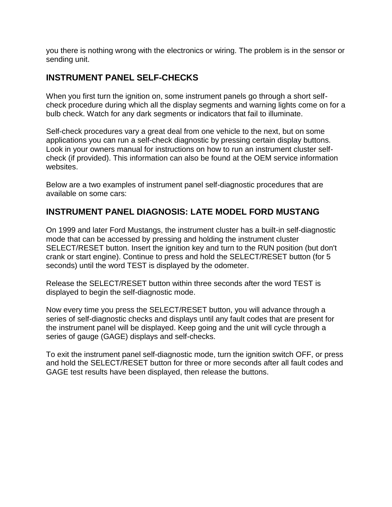you there is nothing wrong with the electronics or wiring. The problem is in the sensor or sending unit.

### **INSTRUMENT PANEL SELF-CHECKS**

When you first turn the ignition on, some instrument panels go through a short selfcheck procedure during which all the display segments and warning lights come on for a bulb check. Watch for any dark segments or indicators that fail to illuminate.

Self-check procedures vary a great deal from one vehicle to the next, but on some applications you can run a self-check diagnostic by pressing certain display buttons. Look in your owners manual for instructions on how to run an instrument cluster selfcheck (if provided). This information can also be found at the OEM service information websites.

Below are a two examples of instrument panel self-diagnostic procedures that are available on some cars:

### **INSTRUMENT PANEL DIAGNOSIS: LATE MODEL FORD MUSTANG**

On 1999 and later Ford Mustangs, the instrument cluster has a built-in self-diagnostic mode that can be accessed by pressing and holding the instrument cluster SELECT/RESET button. Insert the ignition key and turn to the RUN position (but don't crank or start engine). Continue to press and hold the SELECT/RESET button (for 5 seconds) until the word TEST is displayed by the odometer.

Release the SELECT/RESET button within three seconds after the word TEST is displayed to begin the self-diagnostic mode.

Now every time you press the SELECT/RESET button, you will advance through a series of self-diagnostic checks and displays until any fault codes that are present for the instrument panel will be displayed. Keep going and the unit will cycle through a series of gauge (GAGE) displays and self-checks.

To exit the instrument panel self-diagnostic mode, turn the ignition switch OFF, or press and hold the SELECT/RESET button for three or more seconds after all fault codes and GAGE test results have been displayed, then release the buttons.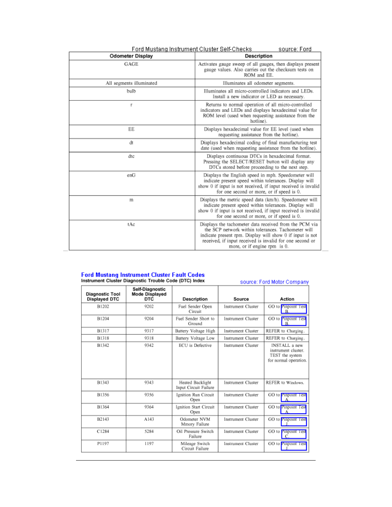| Ford Mustang Instrument Cluster Self-Checks<br>source: Ford |                                                                                                                                                                                                                                                                       |  |  |  |
|-------------------------------------------------------------|-----------------------------------------------------------------------------------------------------------------------------------------------------------------------------------------------------------------------------------------------------------------------|--|--|--|
| <b>Odometer Display</b>                                     | <b>Description</b>                                                                                                                                                                                                                                                    |  |  |  |
| GAGE                                                        | Activates gauge sweep of all gauges, then displays present<br>gauge values. Also carries out the checksum tests on<br>ROM and EE.                                                                                                                                     |  |  |  |
| All segments illuminated                                    | Illuminates all odometer segments.                                                                                                                                                                                                                                    |  |  |  |
| bulb                                                        | Illuminates all micro-controlled indicators and LEDs.<br>Install a new indicator or LED as necessary.                                                                                                                                                                 |  |  |  |
| ť                                                           | Returns to normal operation of all micro-controlled<br>indicators and LEDs and displays hexadecimal value for<br>ROM level (used when requesting assistance from the<br>hotline).                                                                                     |  |  |  |
| EE                                                          | Displays hexadecimal value for EE level (used when<br>requesting assistance from the hotline).                                                                                                                                                                        |  |  |  |
| đt                                                          | Displays hexadecimal coding of final manufacturing test<br>date (used when requesting assistance from the hotline).                                                                                                                                                   |  |  |  |
| dte                                                         | Displays continuous DTCs in hexadecimal format.<br>Pressing the SELECT/RESET button will display any<br>DTCs stored before proceeding to the next step.                                                                                                               |  |  |  |
| enG                                                         | Displays the English speed in mph. Speedometer will<br>indicate present speed within tolerances. Display will<br>show 0 if input is not received, if input received is invalid<br>for one second or more, or if speed is 0.                                           |  |  |  |
| m                                                           | Displays the metric speed data (km/h). Speedometer will<br>indicate present speed within tolerances. Display will<br>show 0 if input is not received, if input received is invalid<br>for one second or more, or if speed is 0.                                       |  |  |  |
| tAc                                                         | Displays the tachometer data received from the PCM via<br>the SCP network within tolerances. Tachometer will<br>indicate present rpm. Display will show 0 if input is not<br>received, if input received is invalid for one second or<br>more, or if engine rpm is 0. |  |  |  |

## Ford Mustang Instrument Cluster Fault Codes<br>Instrument Cluster Diagnostic Trouble Code (DTC) Index

| Instrument Cluster Diagnostic Trouble Code (DTC) Index |                                                 | source: Ford Motor Company                |                           |                                                                                         |
|--------------------------------------------------------|-------------------------------------------------|-------------------------------------------|---------------------------|-----------------------------------------------------------------------------------------|
| <b>Diagnostic Tool</b><br><b>Displayed DTC</b>         | Self-Diagnostic<br><b>Mode Displayed</b><br>DTC | Description                               | Source                    | Action                                                                                  |
| B1202                                                  | 9202                                            | Fuel Sender Open<br>Circuit               | Instrument Cluster        | GO to Pinpoint Test<br>$\mathbf{R}$                                                     |
| B1204                                                  | 9204                                            | Fuel Sender Short to<br>Ground            | Instrument Cluster        | GO to Pinpoint Test<br>R                                                                |
| B1317                                                  | 9317                                            | Battery Voltage High                      | Instrument Cluster        | REFER to Charging.                                                                      |
| B1318                                                  | 9318                                            | Battery Voltage Low                       | Instrument Cluster        | REFER to Charging.                                                                      |
| B1342                                                  | 9342                                            | ECU is Defective                          | Instrument Cluster        | <b>INSTALL</b> a new<br>instrument cluster.<br>TEST the system<br>for normal operation. |
| B1343                                                  | 9343                                            | Heated Backlight<br>Input Circuit Failure | Instrument Cluster        | REFER to Windows.                                                                       |
| B1356                                                  | 9356                                            | Ignition Run Circuit<br>Open              | Instrument Cluster        | GO to PInpoint Test                                                                     |
| B1364                                                  | 9364                                            | <b>Ignition Start Circuit</b><br>Open     | <b>Instrument Cluster</b> | GO to Pinpoint Test                                                                     |
| B2143                                                  | A143                                            | Odometer NVM<br>Mmory Failure             | Instrument Cluster        | GO to PInpoint Test                                                                     |
| C1284                                                  | 5284                                            | Oil Pressure Switch<br>Failure            | Instrument Cluster        | GO to Pinpoint Test                                                                     |
| P1197                                                  | 1197                                            | Mileage Switch<br>Circuit Failure         | Instrument Cluster        | GO to Pinpoint Test                                                                     |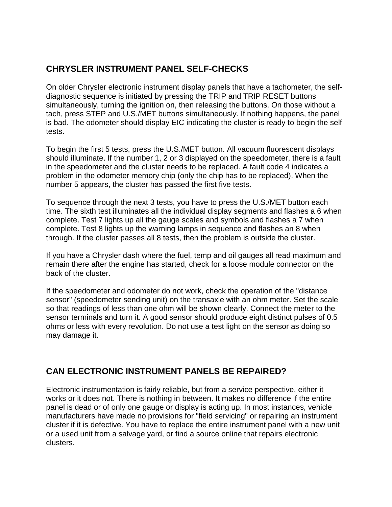### **CHRYSLER INSTRUMENT PANEL SELF-CHECKS**

On older Chrysler electronic instrument display panels that have a tachometer, the selfdiagnostic sequence is initiated by pressing the TRIP and TRIP RESET buttons simultaneously, turning the ignition on, then releasing the buttons. On those without a tach, press STEP and U.S./MET buttons simultaneously. If nothing happens, the panel is bad. The odometer should display EIC indicating the cluster is ready to begin the self tests.

To begin the first 5 tests, press the U.S./MET button. All vacuum fluorescent displays should illuminate. If the number 1, 2 or 3 displayed on the speedometer, there is a fault in the speedometer and the cluster needs to be replaced. A fault code 4 indicates a problem in the odometer memory chip (only the chip has to be replaced). When the number 5 appears, the cluster has passed the first five tests.

To sequence through the next 3 tests, you have to press the U.S./MET button each time. The sixth test illuminates all the individual display segments and flashes a 6 when complete. Test 7 lights up all the gauge scales and symbols and flashes a 7 when complete. Test 8 lights up the warning lamps in sequence and flashes an 8 when through. If the cluster passes all 8 tests, then the problem is outside the cluster.

If you have a Chrysler dash where the fuel, temp and oil gauges all read maximum and remain there after the engine has started, check for a loose module connector on the back of the cluster.

If the speedometer and odometer do not work, check the operation of the "distance sensor" (speedometer sending unit) on the transaxle with an ohm meter. Set the scale so that readings of less than one ohm will be shown clearly. Connect the meter to the sensor terminals and turn it. A good sensor should produce eight distinct pulses of 0.5 ohms or less with every revolution. Do not use a test light on the sensor as doing so may damage it.

### **CAN ELECTRONIC INSTRUMENT PANELS BE REPAIRED?**

Electronic instrumentation is fairly reliable, but from a service perspective, either it works or it does not. There is nothing in between. It makes no difference if the entire panel is dead or of only one gauge or display is acting up. In most instances, vehicle manufacturers have made no provisions for "field servicing" or repairing an instrument cluster if it is defective. You have to replace the entire instrument panel with a new unit or a used unit from a salvage yard, or find a source online that repairs electronic clusters.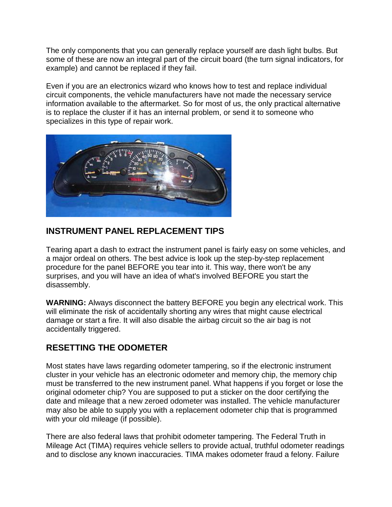The only components that you can generally replace yourself are dash light bulbs. But some of these are now an integral part of the circuit board (the turn signal indicators, for example) and cannot be replaced if they fail.

Even if you are an electronics wizard who knows how to test and replace individual circuit components, the vehicle manufacturers have not made the necessary service information available to the aftermarket. So for most of us, the only practical alternative is to replace the cluster if it has an internal problem, or send it to someone who specializes in this type of repair work.



### **INSTRUMENT PANEL REPLACEMENT TIPS**

Tearing apart a dash to extract the instrument panel is fairly easy on some vehicles, and a major ordeal on others. The best advice is look up the step-by-step replacement procedure for the panel BEFORE you tear into it. This way, there won't be any surprises, and you will have an idea of what's involved BEFORE you start the disassembly.

**WARNING:** Always disconnect the battery BEFORE you begin any electrical work. This will eliminate the risk of accidentally shorting any wires that might cause electrical damage or start a fire. It will also disable the airbag circuit so the air bag is not accidentally triggered.

### **RESETTING THE ODOMETER**

Most states have laws regarding odometer tampering, so if the electronic instrument cluster in your vehicle has an electronic odometer and memory chip, the memory chip must be transferred to the new instrument panel. What happens if you forget or lose the original odometer chip? You are supposed to put a sticker on the door certifying the date and mileage that a new zeroed odometer was installed. The vehicle manufacturer may also be able to supply you with a replacement odometer chip that is programmed with your old mileage (if possible).

There are also federal laws that prohibit odometer tampering. The Federal Truth in Mileage Act (TIMA) requires vehicle sellers to provide actual, truthful odometer readings and to disclose any known inaccuracies. TIMA makes odometer fraud a felony. Failure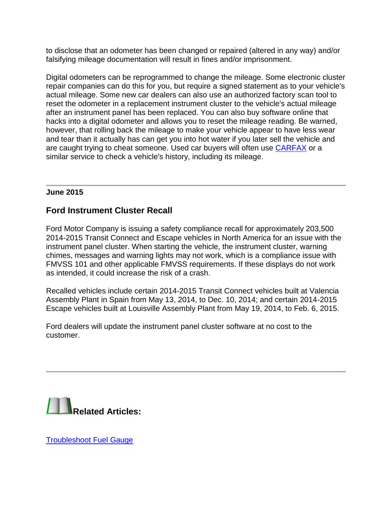to disclose that an odometer has been changed or repaired (altered in any way) and/or falsifying mileage documentation will result in fines and/or imprisonment.

Digital odometers can be reprogrammed to change the mileage. Some electronic cluster repair companies can do this for you, but require a signed statement as to your vehicle's actual mileage. Some new car dealers can also use an authorized factory scan tool to reset the odometer in a replacement instrument cluster to the vehicle's actual mileage after an instrument panel has been replaced. You can also buy software online that hacks into a digital odometer and allows you to reset the mileage reading. Be warned, however, that rolling back the mileage to make your vehicle appear to have less wear and tear than it actually has can get you into hot water if you later sell the vehicle and are caught trying to cheat someone. Used car buyers will often use [CARFAX](http://www.carfax.com/cfm/general_check.cfm?partner=cfx_5) or a similar service to check a vehicle's history, including its mileage.

#### **June 2015**

### **Ford Instrument Cluster Recall**

Ford Motor Company is issuing a safety compliance recall for approximately 203,500 2014-2015 Transit Connect and Escape vehicles in North America for an issue with the instrument panel cluster. When starting the vehicle, the instrument cluster, warning chimes, messages and warning lights may not work, which is a compliance issue with FMVSS 101 and other applicable FMVSS requirements. If these displays do not work as intended, it could increase the risk of a crash.

Recalled vehicles include certain 2014-2015 Transit Connect vehicles built at Valencia Assembly Plant in Spain from May 13, 2014, to Dec. 10, 2014; and certain 2014-2015 Escape vehicles built at Louisville Assembly Plant from May 19, 2014, to Feb. 6, 2015.

Ford dealers will update the instrument panel cluster software at no cost to the customer.



[Troubleshoot Fuel Gauge](http://www.aa1car.com/library/fuel_gauge_diagnosis.htm)